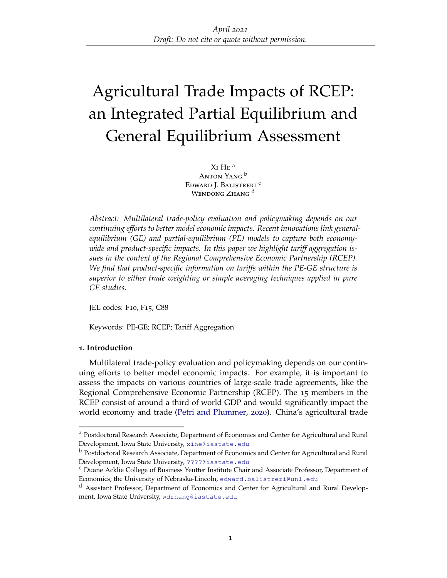# Agricultural Trade Impacts of RCEP: an Integrated Partial Equilibrium and General Equilibrium Assessment

Xi He a Anton Yang <sup>b</sup> Edward J. Balistreri<sup>c</sup> WENDONG ZHANG<sup>d</sup>

*Abstract: Multilateral trade-policy evaluation and policymaking depends on our continuing efforts to better model economic impacts. Recent innovations link generalequilibrium (GE) and partial-equilibrium (PE) models to capture both economywide and product-specific impacts. In this paper we highlight tariff aggregation issues in the context of the Regional Comprehensive Economic Partnership (RCEP). We find that product-specific information on tariffs within the PE-GE structure is superior to either trade weighting or simple averaging techniques applied in pure GE studies.*

JEL codes: F10, F15, C88

Keywords: PE-GE; RCEP; Tariff Aggregation

# **1. Introduction**

Multilateral trade-policy evaluation and policymaking depends on our continuing efforts to better model economic impacts. For example, it is important to assess the impacts on various countries of large-scale trade agreements, like the Regional Comprehensive Economic Partnership (RCEP). The 15 members in the RCEP consist of around a third of world GDP and would significantly impact the world economy and trade [\(Petri and Plummer,](#page-7-0) [2020](#page-7-0)). China's agricultural trade

<sup>&</sup>lt;sup>a</sup> Postdoctoral Research Associate, Department of Economics and Center for Agricultural and Rural Development, Iowa State University, [xihe@iastate.edu](mailto:xihe@iastate.edu)

<sup>b</sup> Postdoctoral Research Associate, Department of Economics and Center for Agricultural and Rural Development, Iowa State University, [????@iastate.edu](mailto:????@iastate.edu)

<sup>c</sup> Duane Acklie College of Business Yeutter Institute Chair and Associate Professor, Department of Economics, the University of Nebraska-Lincoln, [edward.balistreri@unl.edu](mailto:edward.balistreri@unl.edu)

<sup>d</sup> Assistant Professor, Department of Economics and Center for Agricultural and Rural Development, Iowa State University, [wdzhang@iastate.edu](mailto:wdzhang@iastate.edu)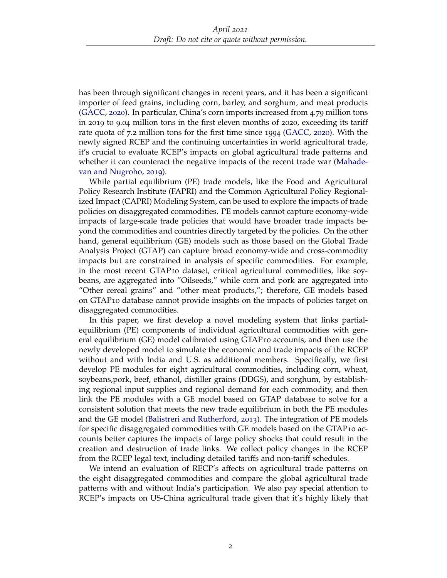has been through significant changes in recent years, and it has been a significant importer of feed grains, including corn, barley, and sorghum, and meat products [\(GACC,](#page-7-1) [2020](#page-7-1)). In particular, China's corn imports increased from 4.79 million tons in 2019 to 9.04 million tons in the first eleven months of 2020, exceeding its tariff rate quota of 7.2 million tons for the first time since 1994 [\(GACC,](#page-7-1) [2020](#page-7-1)). With the newly signed RCEP and the continuing uncertainties in world agricultural trade, it's crucial to evaluate RCEP's impacts on global agricultural trade patterns and whether it can counteract the negative impacts of the recent trade war [\(Mahade](#page-7-2)[van and Nugroho,](#page-7-2) [2019](#page-7-2)).

While partial equilibrium (PE) trade models, like the Food and Agricultural Policy Research Institute (FAPRI) and the Common Agricultural Policy Regionalized Impact (CAPRI) Modeling System, can be used to explore the impacts of trade policies on disaggregated commodities. PE models cannot capture economy-wide impacts of large-scale trade policies that would have broader trade impacts beyond the commodities and countries directly targeted by the policies. On the other hand, general equilibrium (GE) models such as those based on the Global Trade Analysis Project (GTAP) can capture broad economy-wide and cross-commodity impacts but are constrained in analysis of specific commodities. For example, in the most recent GTAP10 dataset, critical agricultural commodities, like soybeans, are aggregated into "Oilseeds," while corn and pork are aggregated into "Other cereal grains" and "other meat products,"; therefore, GE models based on GTAP10 database cannot provide insights on the impacts of policies target on disaggregated commodities.

In this paper, we first develop a novel modeling system that links partialequilibrium (PE) components of individual agricultural commodities with general equilibrium (GE) model calibrated using GTAP10 accounts, and then use the newly developed model to simulate the economic and trade impacts of the RCEP without and with India and U.S. as additional members. Specifically, we first develop PE modules for eight agricultural commodities, including corn, wheat, soybeans,pork, beef, ethanol, distiller grains (DDGS), and sorghum, by establishing regional input supplies and regional demand for each commodity, and then link the PE modules with a GE model based on GTAP database to solve for a consistent solution that meets the new trade equilibrium in both the PE modules and the GE model [\(Balistreri and Rutherford,](#page-7-3) [2013](#page-7-3)). The integration of PE models for specific disaggregated commodities with GE models based on the GTAP10 accounts better captures the impacts of large policy shocks that could result in the creation and destruction of trade links. We collect policy changes in the RCEP from the RCEP legal text, including detailed tariffs and non-tariff schedules.

We intend an evaluation of RECP's affects on agricultural trade patterns on the eight disaggregated commodities and compare the global agricultural trade patterns with and without India's participation. We also pay special attention to RCEP's impacts on US-China agricultural trade given that it's highly likely that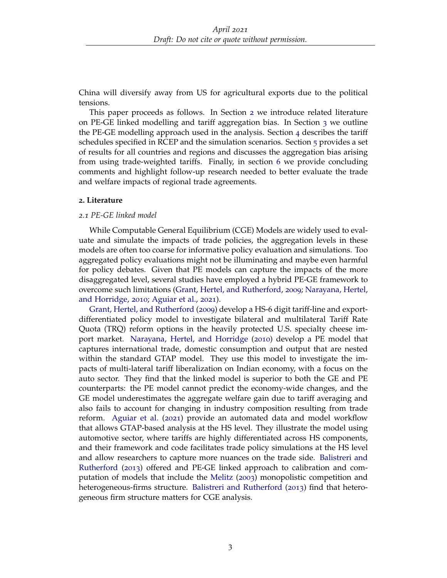China will diversify away from US for agricultural exports due to the political tensions.

This paper proceeds as follows. In Section [2](#page-2-0) we introduce related literature on PE-GE linked modelling and tariff aggregation bias. In Section [3](#page-3-0) we outline the PE-GE modelling approach used in the analysis. Section [4](#page-4-0) describes the tariff schedules specified in RCEP and the simulation scenarios. Section [5](#page-5-0) provides a set of results for all countries and regions and discusses the aggregation bias arising from using trade-weighted tariffs. Finally, in section [6](#page-6-0) we provide concluding comments and highlight follow-up research needed to better evaluate the trade and welfare impacts of regional trade agreements.

## <span id="page-2-0"></span>**2. Literature**

#### *2.1 PE-GE linked model*

While Computable General Equilibrium (CGE) Models are widely used to evaluate and simulate the impacts of trade policies, the aggregation levels in these models are often too coarse for informative policy evaluation and simulations. Too aggregated policy evaluations might not be illuminating and maybe even harmful for policy debates. Given that PE models can capture the impacts of the more disaggregated level, several studies have employed a hybrid PE-GE framework to overcome such limitations [\(Grant, Hertel, and Rutherford,](#page-7-4) [2009](#page-7-4); [Narayana, Hertel,](#page-7-5) [and Horridge,](#page-7-5) [2010](#page-7-5); [Aguiar et al.,](#page-7-6) [2021](#page-7-6)).

[Grant, Hertel, and Rutherford](#page-7-4) ([2009](#page-7-4)) develop a HS-6 digit tariff-line and exportdifferentiated policy model to investigate bilateral and multilateral Tariff Rate Quota (TRQ) reform options in the heavily protected U.S. specialty cheese import market. [Narayana, Hertel, and Horridge](#page-7-5) ([2010](#page-7-5)) develop a PE model that captures international trade, domestic consumption and output that are nested within the standard GTAP model. They use this model to investigate the impacts of multi-lateral tariff liberalization on Indian economy, with a focus on the auto sector. They find that the linked model is superior to both the GE and PE counterparts: the PE model cannot predict the economy-wide changes, and the GE model underestimates the aggregate welfare gain due to tariff averaging and also fails to account for changing in industry composition resulting from trade reform. [Aguiar et al.](#page-7-6) ([2021](#page-7-6)) provide an automated data and model workflow that allows GTAP-based analysis at the HS level. They illustrate the model using automotive sector, where tariffs are highly differentiated across HS components, and their framework and code facilitates trade policy simulations at the HS level and allow researchers to capture more nuances on the trade side. [Balistreri and](#page-7-3) [Rutherford](#page-7-3) ([2013](#page-7-3)) offered and PE-GE linked approach to calibration and computation of models that include the [Melitz](#page-7-7) ([2003](#page-7-7)) monopolistic competition and heterogeneous-firms structure. [Balistreri and Rutherford](#page-7-3) ([2013](#page-7-3)) find that heterogeneous firm structure matters for CGE analysis.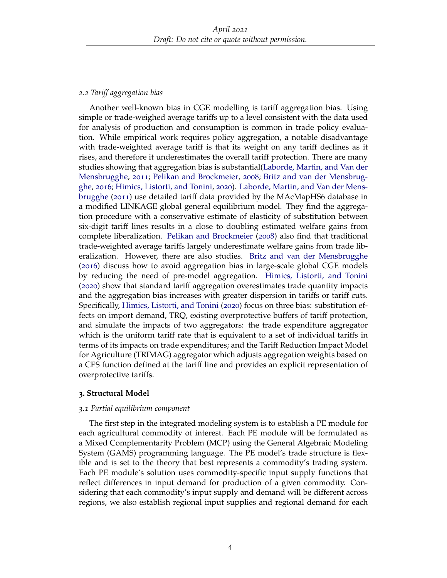# *2.2 Tariff aggregation bias*

Another well-known bias in CGE modelling is tariff aggregation bias. Using simple or trade-weighed average tariffs up to a level consistent with the data used for analysis of production and consumption is common in trade policy evaluation. While empirical work requires policy aggregation, a notable disadvantage with trade-weighted average tariff is that its weight on any tariff declines as it rises, and therefore it underestimates the overall tariff protection. There are many studies showing that aggregation bias is substantial[\(Laborde, Martin, and Van der](#page-7-8) [Mensbrugghe,](#page-7-8) [2011](#page-7-8); [Pelikan and Brockmeier,](#page-7-9) [2008](#page-7-9); [Britz and van der Mensbrug](#page-7-10)[ghe,](#page-7-10) [2016](#page-7-10); [Himics, Listorti, and Tonini,](#page-7-11) [2020](#page-7-11)). [Laborde, Martin, and Van der Mens](#page-7-8)[brugghe](#page-7-8) ([2011](#page-7-8)) use detailed tariff data provided by the MAcMapHS6 database in a modified LINKAGE global general equilibrium model. They find the aggregation procedure with a conservative estimate of elasticity of substitution between six-digit tariff lines results in a close to doubling estimated welfare gains from complete liberalization. [Pelikan and Brockmeier](#page-7-9) ([2008](#page-7-9)) also find that traditional trade-weighted average tariffs largely underestimate welfare gains from trade liberalization. However, there are also studies. [Britz and van der Mensbrugghe](#page-7-10) ([2016](#page-7-10)) discuss how to avoid aggregation bias in large-scale global CGE models by reducing the need of pre-model aggregation. [Himics, Listorti, and Tonini](#page-7-11) ([2020](#page-7-11)) show that standard tariff aggregation overestimates trade quantity impacts and the aggregation bias increases with greater dispersion in tariffs or tariff cuts. Specifically, [Himics, Listorti, and Tonini](#page-7-11) ([2020](#page-7-11)) focus on three bias: substitution effects on import demand, TRQ, existing overprotective buffers of tariff protection, and simulate the impacts of two aggregators: the trade expenditure aggregator which is the uniform tariff rate that is equivalent to a set of individual tariffs in terms of its impacts on trade expenditures; and the Tariff Reduction Impact Model for Agriculture (TRIMAG) aggregator which adjusts aggregation weights based on a CES function defined at the tariff line and provides an explicit representation of overprotective tariffs.

# <span id="page-3-0"></span>**3. Structural Model**

## *3.1 Partial equilibrium component*

The first step in the integrated modeling system is to establish a PE module for each agricultural commodity of interest. Each PE module will be formulated as a Mixed Complementarity Problem (MCP) using the General Algebraic Modeling System (GAMS) programming language. The PE model's trade structure is flexible and is set to the theory that best represents a commodity's trading system. Each PE module's solution uses commodity-specific input supply functions that reflect differences in input demand for production of a given commodity. Considering that each commodity's input supply and demand will be different across regions, we also establish regional input supplies and regional demand for each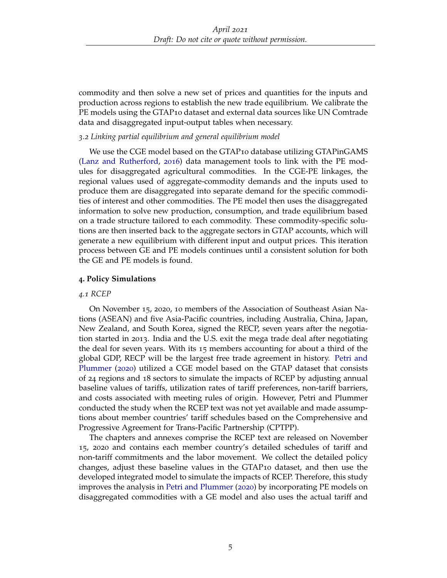commodity and then solve a new set of prices and quantities for the inputs and production across regions to establish the new trade equilibrium. We calibrate the PE models using the GTAP10 dataset and external data sources like UN Comtrade data and disaggregated input-output tables when necessary.

## *3.2 Linking partial equilibrium and general equilibrium model*

We use the CGE model based on the GTAP10 database utilizing GTAPinGAMS [\(Lanz and Rutherford,](#page-7-12) [2016](#page-7-12)) data management tools to link with the PE modules for disaggregated agricultural commodities. In the CGE-PE linkages, the regional values used of aggregate-commodity demands and the inputs used to produce them are disaggregated into separate demand for the specific commodities of interest and other commodities. The PE model then uses the disaggregated information to solve new production, consumption, and trade equilibrium based on a trade structure tailored to each commodity. These commodity-specific solutions are then inserted back to the aggregate sectors in GTAP accounts, which will generate a new equilibrium with different input and output prices. This iteration process between GE and PE models continues until a consistent solution for both the GE and PE models is found.

## <span id="page-4-0"></span>**4. Policy Simulations**

#### *4.1 RCEP*

On November 15, 2020, 10 members of the Association of Southeast Asian Nations (ASEAN) and five Asia-Pacific countries, including Australia, China, Japan, New Zealand, and South Korea, signed the RECP, seven years after the negotiation started in 2013. India and the U.S. exit the mega trade deal after negotiating the deal for seven years. With its 15 members accounting for about a third of the global GDP, RECP will be the largest free trade agreement in history. [Petri and](#page-7-0) [Plummer](#page-7-0) ([2020](#page-7-0)) utilized a CGE model based on the GTAP dataset that consists of 24 regions and 18 sectors to simulate the impacts of RCEP by adjusting annual baseline values of tariffs, utilization rates of tariff preferences, non-tariff barriers, and costs associated with meeting rules of origin. However, Petri and Plummer conducted the study when the RCEP text was not yet available and made assumptions about member countries' tariff schedules based on the Comprehensive and Progressive Agreement for Trans-Pacific Partnership (CPTPP).

The chapters and annexes comprise the RCEP text are released on November 15, 2020 and contains each member country's detailed schedules of tariff and non-tariff commitments and the labor movement. We collect the detailed policy changes, adjust these baseline values in the GTAP10 dataset, and then use the developed integrated model to simulate the impacts of RCEP. Therefore, this study improves the analysis in [Petri and Plummer](#page-7-0) ([2020](#page-7-0)) by incorporating PE models on disaggregated commodities with a GE model and also uses the actual tariff and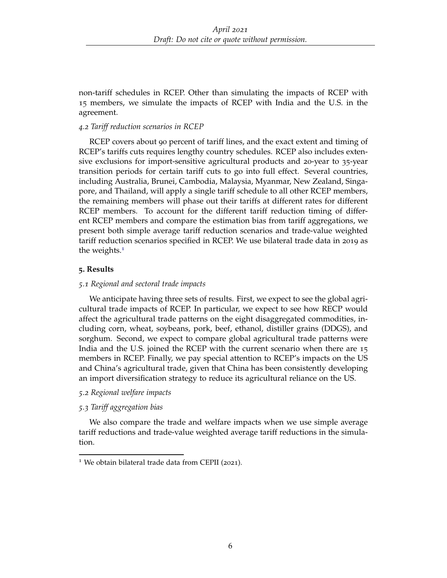non-tariff schedules in RCEP. Other than simulating the impacts of RCEP with 15 members, we simulate the impacts of RCEP with India and the U.S. in the agreement.

## *4.2 Tariff reduction scenarios in RCEP*

RCEP covers about 90 percent of tariff lines, and the exact extent and timing of RCEP's tariffs cuts requires lengthy country schedules. RCEP also includes extensive exclusions for import-sensitive agricultural products and 20-year to 35-year transition periods for certain tariff cuts to go into full effect. Several countries, including Australia, Brunei, Cambodia, Malaysia, Myanmar, New Zealand, Singapore, and Thailand, will apply a single tariff schedule to all other RCEP members, the remaining members will phase out their tariffs at different rates for different RCEP members. To account for the different tariff reduction timing of different RCEP members and compare the estimation bias from tariff aggregations, we present both simple average tariff reduction scenarios and trade-value weighted tariff reduction scenarios specified in RCEP. We use bilateral trade data in 2019 as the weights.<sup>[1](#page-5-1)</sup>

## <span id="page-5-0"></span>**5. Results**

## *5.1 Regional and sectoral trade impacts*

We anticipate having three sets of results. First, we expect to see the global agricultural trade impacts of RCEP. In particular, we expect to see how RECP would affect the agricultural trade patterns on the eight disaggregated commodities, including corn, wheat, soybeans, pork, beef, ethanol, distiller grains (DDGS), and sorghum. Second, we expect to compare global agricultural trade patterns were India and the U.S. joined the RCEP with the current scenario when there are 15 members in RCEP. Finally, we pay special attention to RCEP's impacts on the US and China's agricultural trade, given that China has been consistently developing an import diversification strategy to reduce its agricultural reliance on the US.

## *5.2 Regional welfare impacts*

## *5.3 Tariff aggregation bias*

We also compare the trade and welfare impacts when we use simple average tariff reductions and trade-value weighted average tariff reductions in the simulation.

<span id="page-5-1"></span><sup>&</sup>lt;sup>1</sup> We obtain bilateral trade data from CEPII (2021).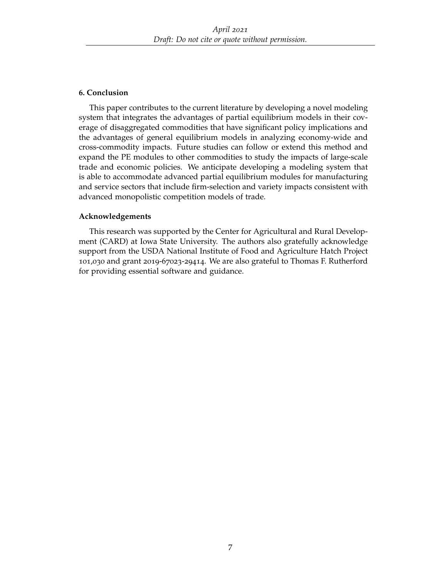# <span id="page-6-0"></span>**6. Conclusion**

This paper contributes to the current literature by developing a novel modeling system that integrates the advantages of partial equilibrium models in their coverage of disaggregated commodities that have significant policy implications and the advantages of general equilibrium models in analyzing economy-wide and cross-commodity impacts. Future studies can follow or extend this method and expand the PE modules to other commodities to study the impacts of large-scale trade and economic policies. We anticipate developing a modeling system that is able to accommodate advanced partial equilibrium modules for manufacturing and service sectors that include firm-selection and variety impacts consistent with advanced monopolistic competition models of trade.

# **Acknowledgements**

This research was supported by the Center for Agricultural and Rural Development (CARD) at Iowa State University. The authors also gratefully acknowledge support from the USDA National Institute of Food and Agriculture Hatch Project 101,030 and grant 2019-67023-29414. We are also grateful to Thomas F. Rutherford for providing essential software and guidance.